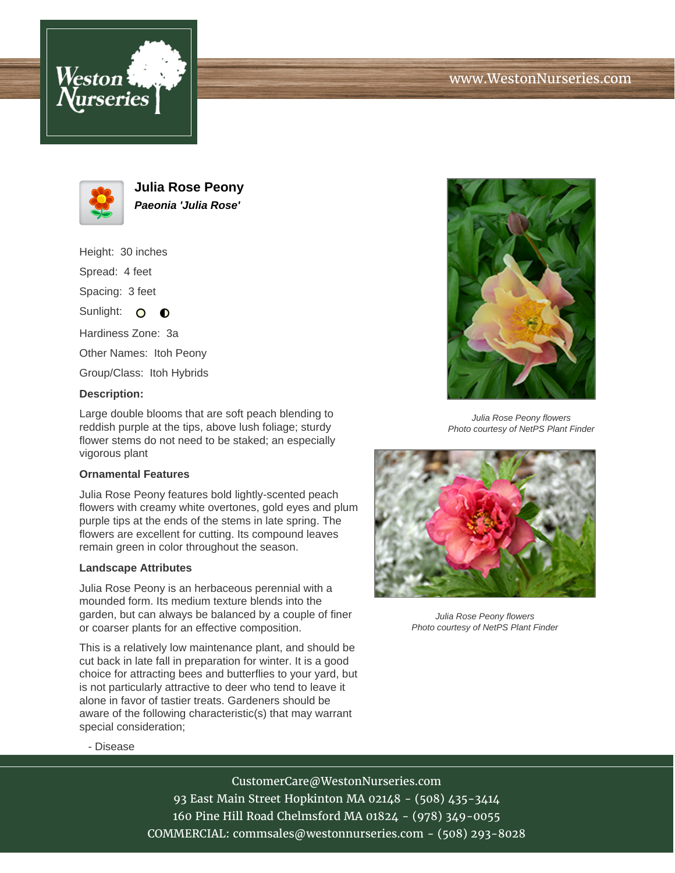





**Julia Rose Peony Paeonia 'Julia Rose'**

Height: 30 inches Spread: 4 feet Spacing: 3 feet

Sunlight: O  $\bullet$ 

Hardiness Zone: 3a

Other Names: Itoh Peony

Group/Class: Itoh Hybrids

# **Description:**

Large double blooms that are soft peach blending to reddish purple at the tips, above lush foliage; sturdy flower stems do not need to be staked; an especially vigorous plant

### **Ornamental Features**

Julia Rose Peony features bold lightly-scented peach flowers with creamy white overtones, gold eyes and plum purple tips at the ends of the stems in late spring. The flowers are excellent for cutting. Its compound leaves remain green in color throughout the season.

### **Landscape Attributes**

Julia Rose Peony is an herbaceous perennial with a mounded form. Its medium texture blends into the garden, but can always be balanced by a couple of finer or coarser plants for an effective composition.

This is a relatively low maintenance plant, and should be cut back in late fall in preparation for winter. It is a good choice for attracting bees and butterflies to your yard, but is not particularly attractive to deer who tend to leave it alone in favor of tastier treats. Gardeners should be aware of the following characteristic(s) that may warrant special consideration;



Julia Rose Peony flowers Photo courtesy of NetPS Plant Finder



Julia Rose Peony flowers Photo courtesy of NetPS Plant Finder

- Disease

# CustomerCare@WestonNurseries.com

93 East Main Street Hopkinton MA 02148 - (508) 435-3414 160 Pine Hill Road Chelmsford MA 01824 - (978) 349-0055 COMMERCIAL: commsales@westonnurseries.com - (508) 293-8028